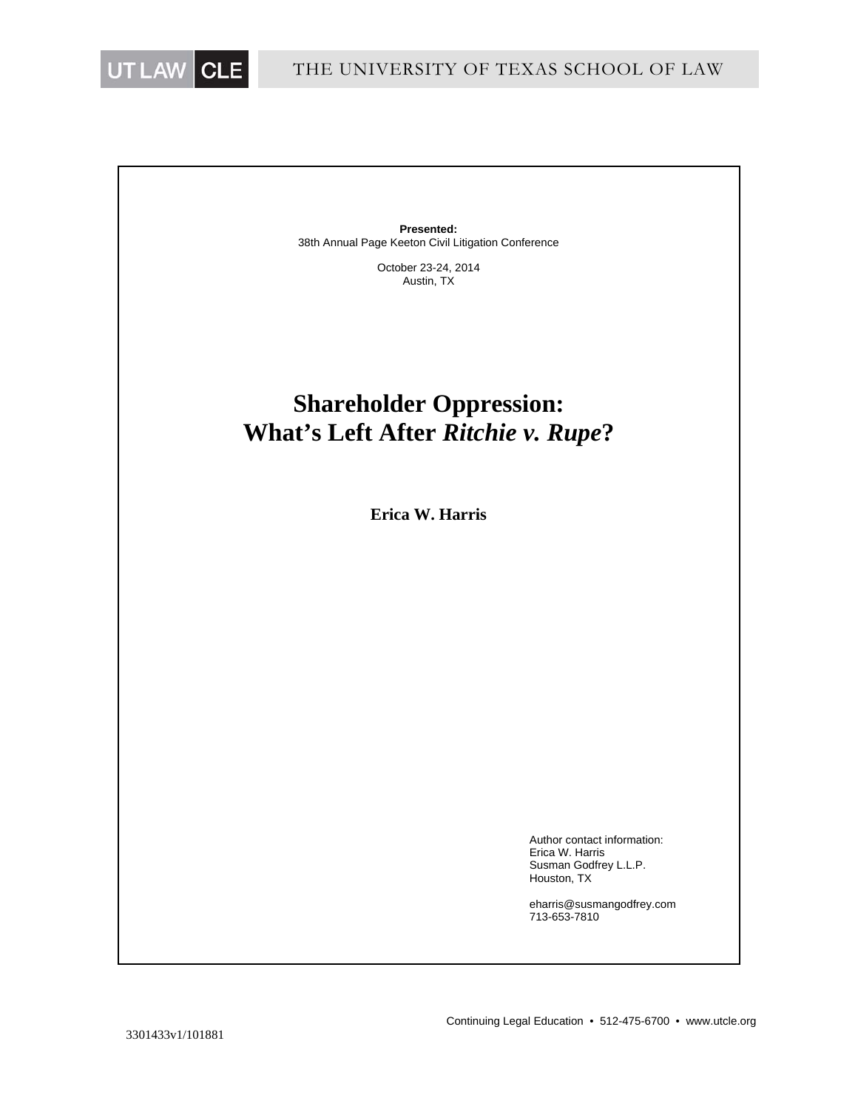

**Presented:** 38th Annual Page Keeton Civil Litigation Conference

> October 23-24, 2014 Austin, TX

# **Shareholder Oppression: What's Left After** *Ritchie v. Rupe***?**

**Erica W. Harris** 

Author contact information: Erica W. Harris Susman Godfrey L.L.P. Houston, TX

eharris@susmangodfrey.com 713-653-7810

3301433v1/101881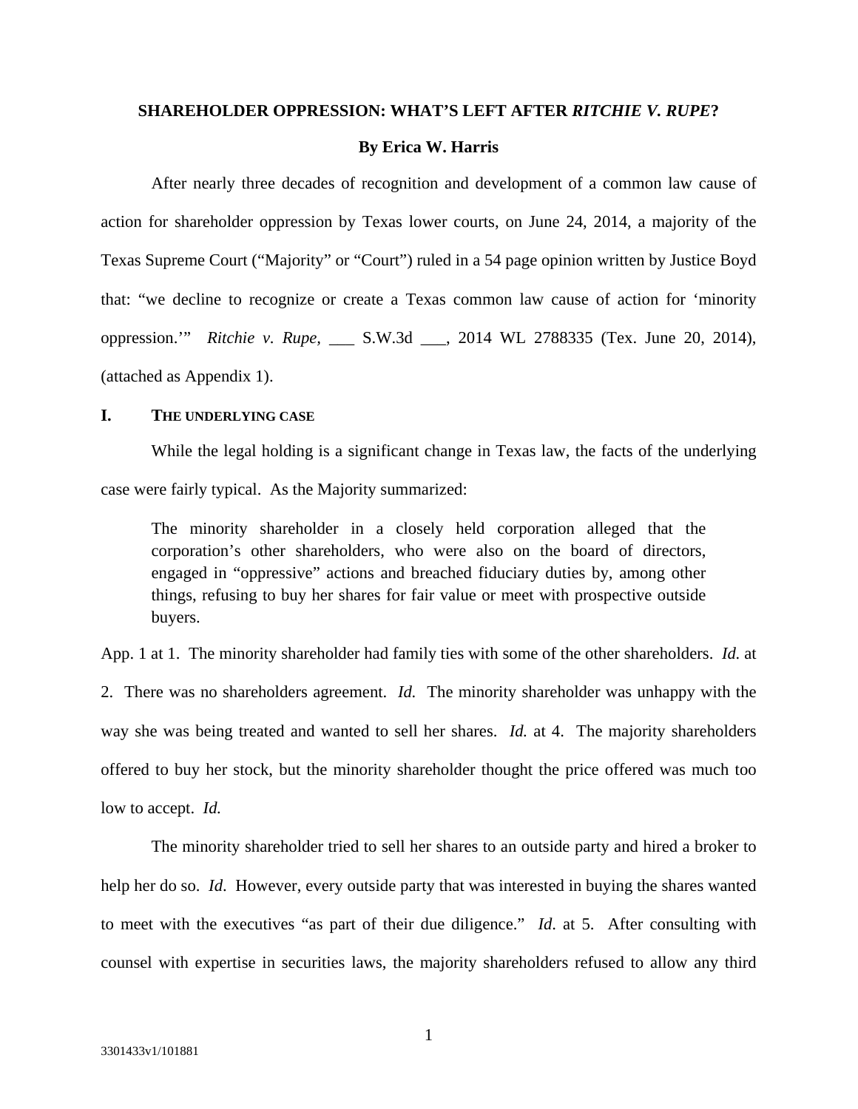#### **SHAREHOLDER OPPRESSION: WHAT'S LEFT AFTER** *RITCHIE V. RUPE***?**

#### **By Erica W. Harris**

After nearly three decades of recognition and development of a common law cause of action for shareholder oppression by Texas lower courts, on June 24, 2014, a majority of the Texas Supreme Court ("Majority" or "Court") ruled in a 54 page opinion written by Justice Boyd that: "we decline to recognize or create a Texas common law cause of action for 'minority oppression.'" *Ritchie v. Rupe,* \_\_\_ S.W.3d \_\_\_, 2014 WL 2788335 (Tex. June 20, 2014), (attached as Appendix 1).

# **I. THE UNDERLYING CASE**

While the legal holding is a significant change in Texas law, the facts of the underlying case were fairly typical. As the Majority summarized:

The minority shareholder in a closely held corporation alleged that the corporation's other shareholders, who were also on the board of directors, engaged in "oppressive" actions and breached fiduciary duties by, among other things, refusing to buy her shares for fair value or meet with prospective outside buyers.

App. 1 at 1. The minority shareholder had family ties with some of the other shareholders. *Id.* at 2. There was no shareholders agreement. *Id.* The minority shareholder was unhappy with the way she was being treated and wanted to sell her shares. *Id.* at 4. The majority shareholders offered to buy her stock, but the minority shareholder thought the price offered was much too low to accept. *Id.*

The minority shareholder tried to sell her shares to an outside party and hired a broker to help her do so. *Id*. However, every outside party that was interested in buying the shares wanted to meet with the executives "as part of their due diligence." *Id*. at 5. After consulting with counsel with expertise in securities laws, the majority shareholders refused to allow any third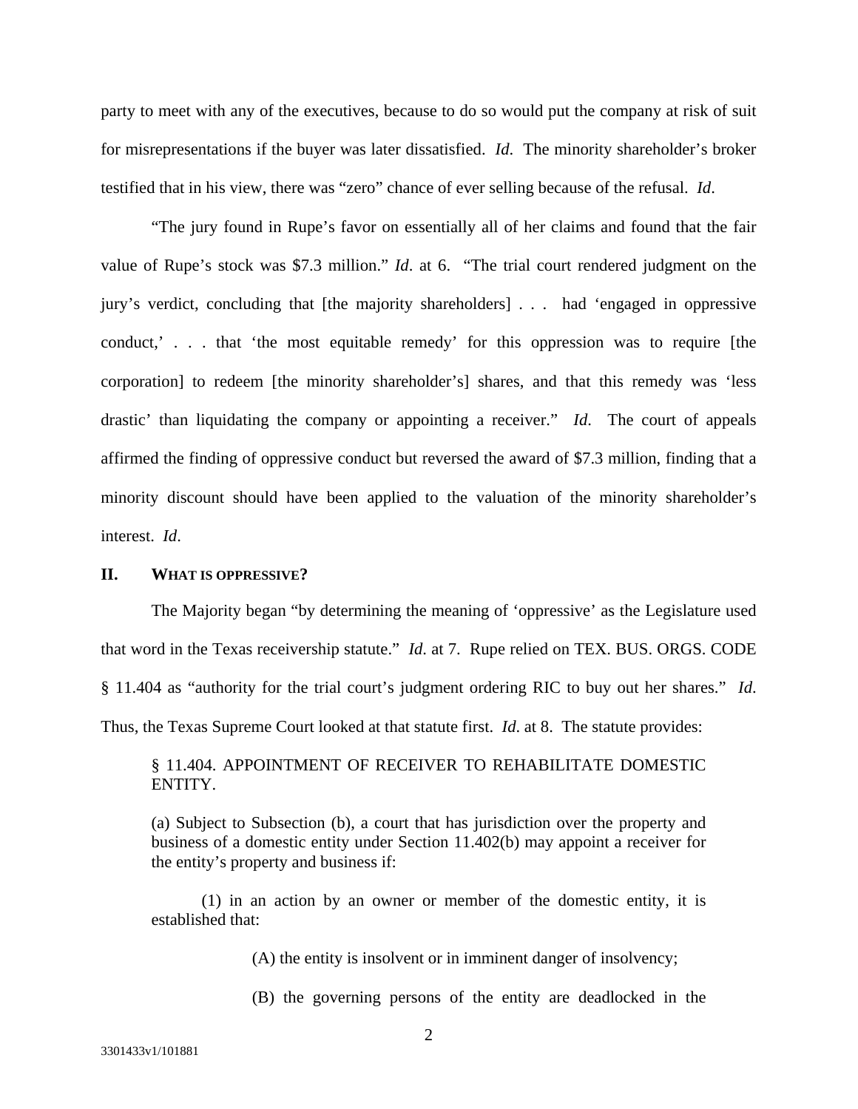party to meet with any of the executives, because to do so would put the company at risk of suit for misrepresentations if the buyer was later dissatisfied. *Id*. The minority shareholder's broker testified that in his view, there was "zero" chance of ever selling because of the refusal. *Id*.

"The jury found in Rupe's favor on essentially all of her claims and found that the fair value of Rupe's stock was \$7.3 million." *Id*. at 6. "The trial court rendered judgment on the jury's verdict, concluding that [the majority shareholders] . . . had 'engaged in oppressive conduct,' . . . that 'the most equitable remedy' for this oppression was to require [the corporation] to redeem [the minority shareholder's] shares, and that this remedy was 'less drastic' than liquidating the company or appointing a receiver." *Id*. The court of appeals affirmed the finding of oppressive conduct but reversed the award of \$7.3 million, finding that a minority discount should have been applied to the valuation of the minority shareholder's interest. *Id*.

#### **II. WHAT IS OPPRESSIVE?**

The Majority began "by determining the meaning of 'oppressive' as the Legislature used that word in the Texas receivership statute." *Id*. at 7. Rupe relied on TEX. BUS. ORGS. CODE § 11.404 as "authority for the trial court's judgment ordering RIC to buy out her shares." *Id*. Thus, the Texas Supreme Court looked at that statute first. *Id*. at 8. The statute provides:

# § 11.404. APPOINTMENT OF RECEIVER TO REHABILITATE DOMESTIC ENTITY.

(a) Subject to Subsection (b), a court that has jurisdiction over the property and business of a domestic entity under Section 11.402(b) may appoint a receiver for the entity's property and business if:

(1) in an action by an owner or member of the domestic entity, it is established that:

(A) the entity is insolvent or in imminent danger of insolvency;

(B) the governing persons of the entity are deadlocked in the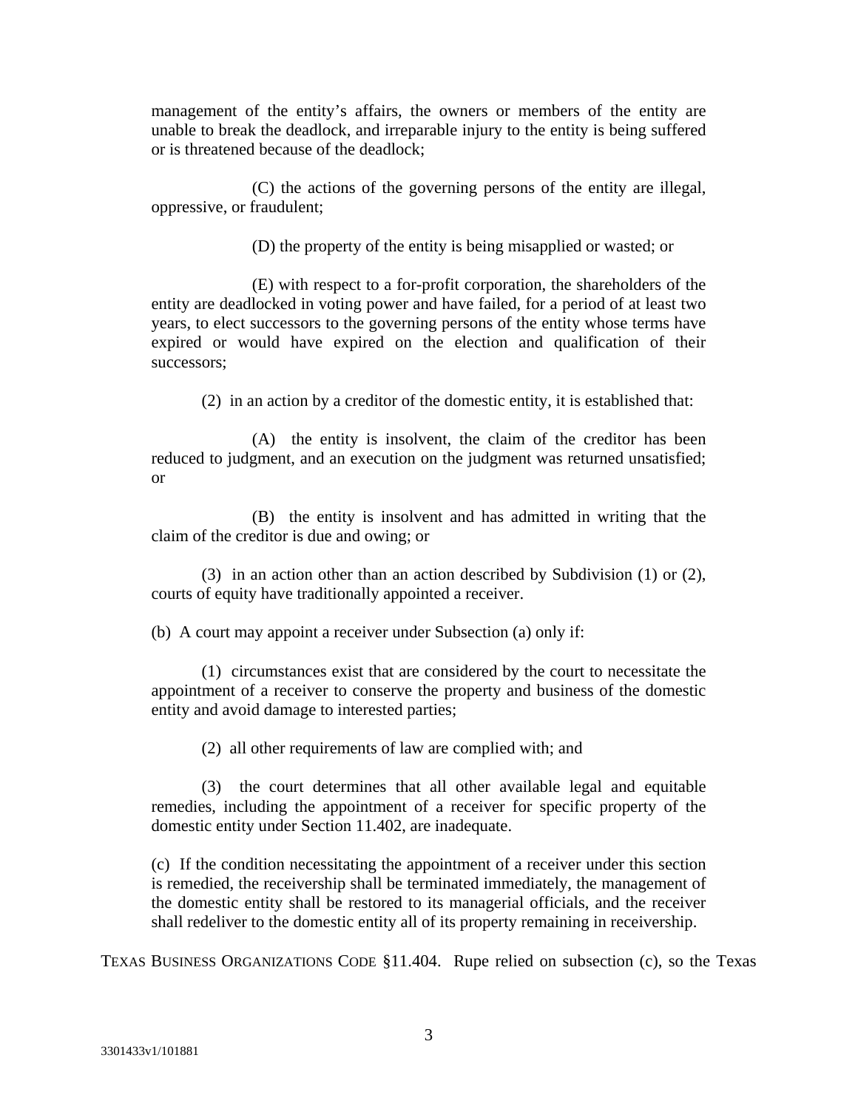management of the entity's affairs, the owners or members of the entity are unable to break the deadlock, and irreparable injury to the entity is being suffered or is threatened because of the deadlock;

(C) the actions of the governing persons of the entity are illegal, oppressive, or fraudulent;

(D) the property of the entity is being misapplied or wasted; or

(E) with respect to a for-profit corporation, the shareholders of the entity are deadlocked in voting power and have failed, for a period of at least two years, to elect successors to the governing persons of the entity whose terms have expired or would have expired on the election and qualification of their successors;

(2) in an action by a creditor of the domestic entity, it is established that:

(A) the entity is insolvent, the claim of the creditor has been reduced to judgment, and an execution on the judgment was returned unsatisfied; or

(B) the entity is insolvent and has admitted in writing that the claim of the creditor is due and owing; or

(3) in an action other than an action described by Subdivision (1) or (2), courts of equity have traditionally appointed a receiver.

(b) A court may appoint a receiver under Subsection (a) only if:

 (1) circumstances exist that are considered by the court to necessitate the appointment of a receiver to conserve the property and business of the domestic entity and avoid damage to interested parties;

(2) all other requirements of law are complied with; and

 (3) the court determines that all other available legal and equitable remedies, including the appointment of a receiver for specific property of the domestic entity under Section 11.402, are inadequate.

(c) If the condition necessitating the appointment of a receiver under this section is remedied, the receivership shall be terminated immediately, the management of the domestic entity shall be restored to its managerial officials, and the receiver shall redeliver to the domestic entity all of its property remaining in receivership.

TEXAS BUSINESS ORGANIZATIONS CODE §11.404. Rupe relied on subsection (c), so the Texas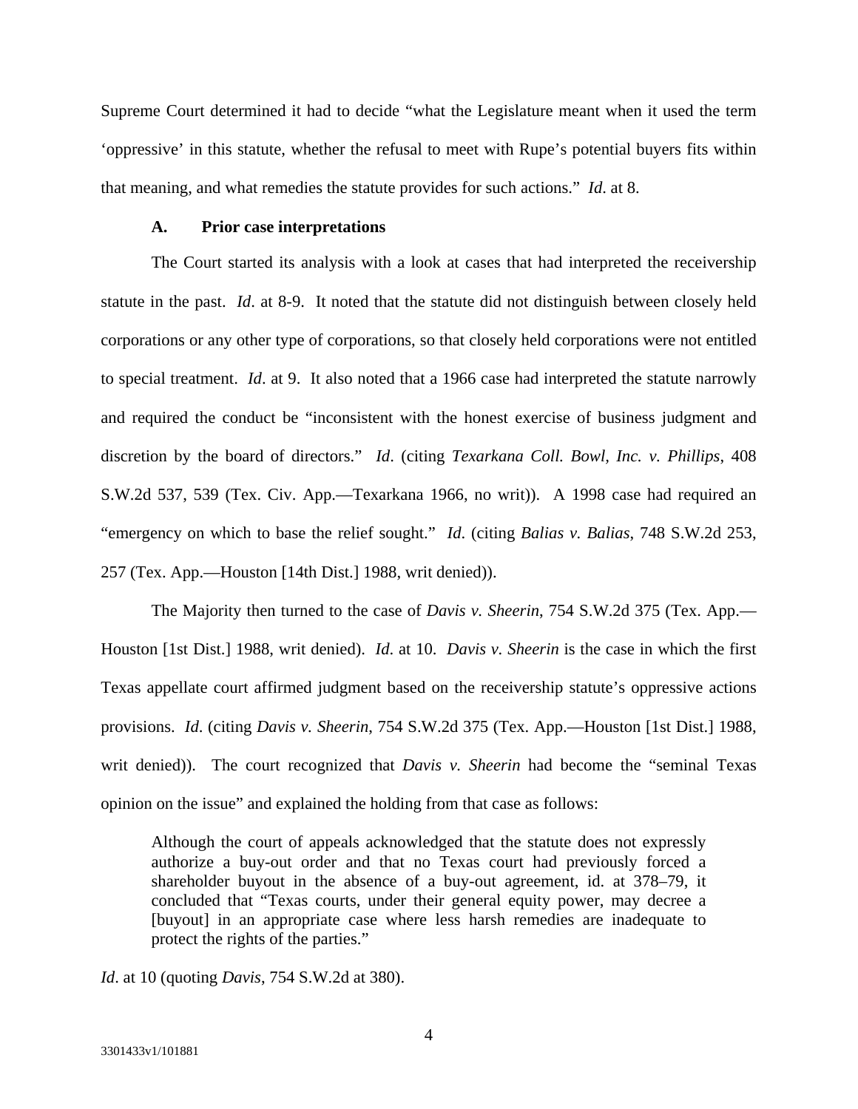Supreme Court determined it had to decide "what the Legislature meant when it used the term 'oppressive' in this statute, whether the refusal to meet with Rupe's potential buyers fits within that meaning, and what remedies the statute provides for such actions." *Id*. at 8.

#### **A. Prior case interpretations**

The Court started its analysis with a look at cases that had interpreted the receivership statute in the past. *Id*. at 8-9. It noted that the statute did not distinguish between closely held corporations or any other type of corporations, so that closely held corporations were not entitled to special treatment. *Id*. at 9. It also noted that a 1966 case had interpreted the statute narrowly and required the conduct be "inconsistent with the honest exercise of business judgment and discretion by the board of directors." *Id*. (citing *Texarkana Coll. Bowl, Inc. v. Phillips*, 408 S.W.2d 537, 539 (Tex. Civ. App.—Texarkana 1966, no writ)). A 1998 case had required an "emergency on which to base the relief sought." *Id*. (citing *Balias v. Balias*, 748 S.W.2d 253, 257 (Tex. App.—Houston [14th Dist.] 1988, writ denied)).

The Majority then turned to the case of *Davis v. Sheerin*, 754 S.W.2d 375 (Tex. App.— Houston [1st Dist.] 1988, writ denied). *Id*. at 10. *Davis v. Sheerin* is the case in which the first Texas appellate court affirmed judgment based on the receivership statute's oppressive actions provisions. *Id*. (citing *Davis v. Sheerin*, 754 S.W.2d 375 (Tex. App.—Houston [1st Dist.] 1988, writ denied)). The court recognized that *Davis v. Sheerin* had become the "seminal Texas" opinion on the issue" and explained the holding from that case as follows:

Although the court of appeals acknowledged that the statute does not expressly authorize a buy-out order and that no Texas court had previously forced a shareholder buyout in the absence of a buy-out agreement, id. at 378–79, it concluded that "Texas courts, under their general equity power, may decree a [buyout] in an appropriate case where less harsh remedies are inadequate to protect the rights of the parties."

*Id*. at 10 (quoting *Davis*, 754 S.W.2d at 380).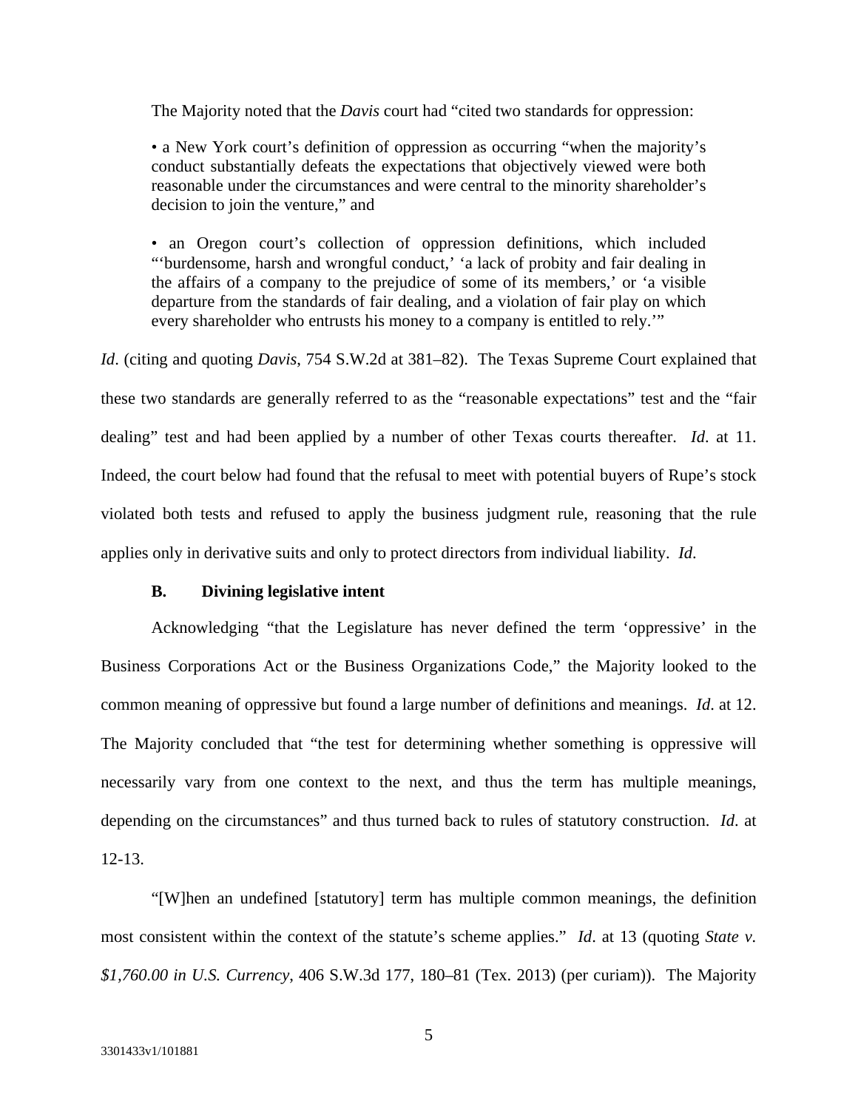The Majority noted that the *Davis* court had "cited two standards for oppression:

• a New York court's definition of oppression as occurring "when the majority's conduct substantially defeats the expectations that objectively viewed were both reasonable under the circumstances and were central to the minority shareholder's decision to join the venture," and

• an Oregon court's collection of oppression definitions, which included "'burdensome, harsh and wrongful conduct,' 'a lack of probity and fair dealing in the affairs of a company to the prejudice of some of its members,' or 'a visible departure from the standards of fair dealing, and a violation of fair play on which every shareholder who entrusts his money to a company is entitled to rely.'"

*Id*. (citing and quoting *Davis*, 754 S.W.2d at 381–82). The Texas Supreme Court explained that these two standards are generally referred to as the "reasonable expectations" test and the "fair dealing" test and had been applied by a number of other Texas courts thereafter. *Id*. at 11. Indeed, the court below had found that the refusal to meet with potential buyers of Rupe's stock violated both tests and refused to apply the business judgment rule, reasoning that the rule applies only in derivative suits and only to protect directors from individual liability. *Id*.

#### **B. Divining legislative intent**

Acknowledging "that the Legislature has never defined the term 'oppressive' in the Business Corporations Act or the Business Organizations Code," the Majority looked to the common meaning of oppressive but found a large number of definitions and meanings. *Id*. at 12. The Majority concluded that "the test for determining whether something is oppressive will necessarily vary from one context to the next, and thus the term has multiple meanings, depending on the circumstances" and thus turned back to rules of statutory construction. *Id*. at 12-13.

"[W]hen an undefined [statutory] term has multiple common meanings, the definition most consistent within the context of the statute's scheme applies." *Id*. at 13 (quoting *State v. \$1,760.00 in U.S. Currency*, 406 S.W.3d 177, 180–81 (Tex. 2013) (per curiam)). The Majority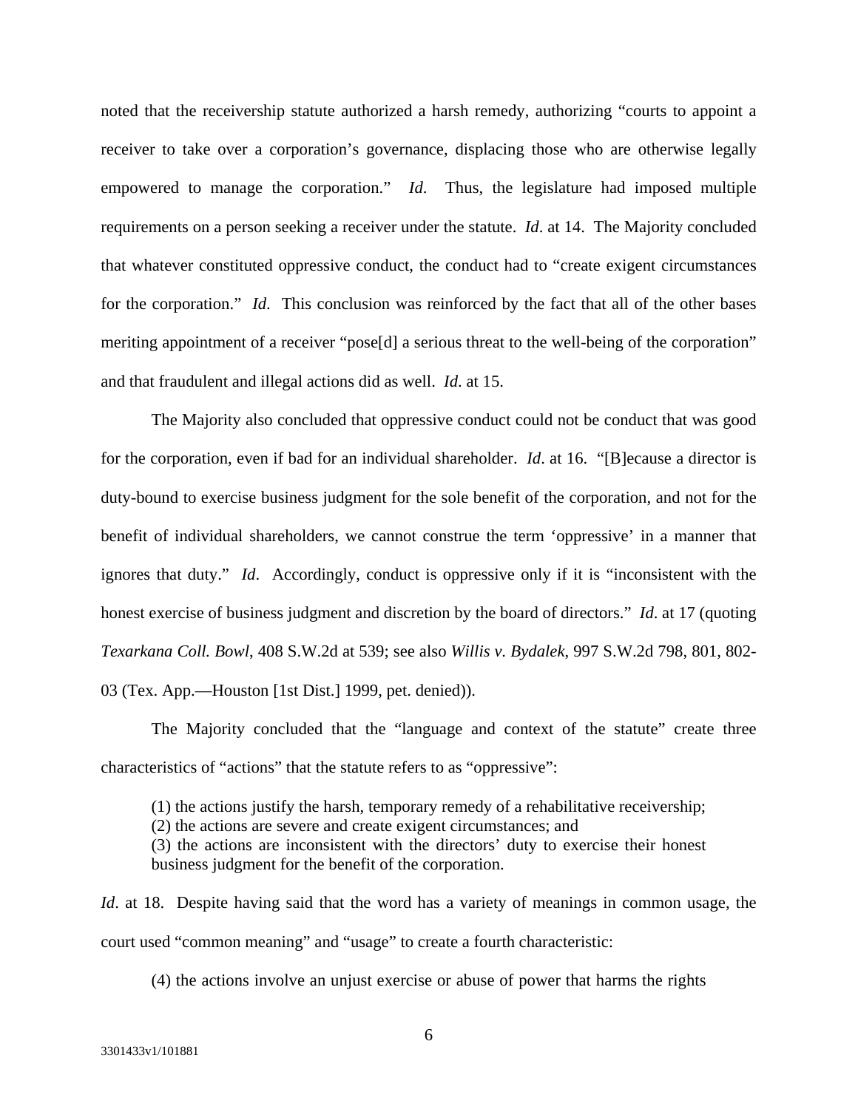noted that the receivership statute authorized a harsh remedy, authorizing "courts to appoint a receiver to take over a corporation's governance, displacing those who are otherwise legally empowered to manage the corporation." *Id*. Thus, the legislature had imposed multiple requirements on a person seeking a receiver under the statute. *Id*. at 14. The Majority concluded that whatever constituted oppressive conduct, the conduct had to "create exigent circumstances for the corporation." *Id*. This conclusion was reinforced by the fact that all of the other bases meriting appointment of a receiver "pose[d] a serious threat to the well-being of the corporation" and that fraudulent and illegal actions did as well. *Id*. at 15.

The Majority also concluded that oppressive conduct could not be conduct that was good for the corporation, even if bad for an individual shareholder. *Id*. at 16. "[B]ecause a director is duty-bound to exercise business judgment for the sole benefit of the corporation, and not for the benefit of individual shareholders, we cannot construe the term 'oppressive' in a manner that ignores that duty." *Id*. Accordingly, conduct is oppressive only if it is "inconsistent with the honest exercise of business judgment and discretion by the board of directors." *Id*. at 17 (quoting *Texarkana Coll. Bowl*, 408 S.W.2d at 539; see also *Willis v. Bydalek*, 997 S.W.2d 798, 801, 802- 03 (Tex. App.—Houston [1st Dist.] 1999, pet. denied)).

The Majority concluded that the "language and context of the statute" create three characteristics of "actions" that the statute refers to as "oppressive":

(1) the actions justify the harsh, temporary remedy of a rehabilitative receivership;

(2) the actions are severe and create exigent circumstances; and

(3) the actions are inconsistent with the directors' duty to exercise their honest business judgment for the benefit of the corporation.

*Id.* at 18. Despite having said that the word has a variety of meanings in common usage, the court used "common meaning" and "usage" to create a fourth characteristic:

(4) the actions involve an unjust exercise or abuse of power that harms the rights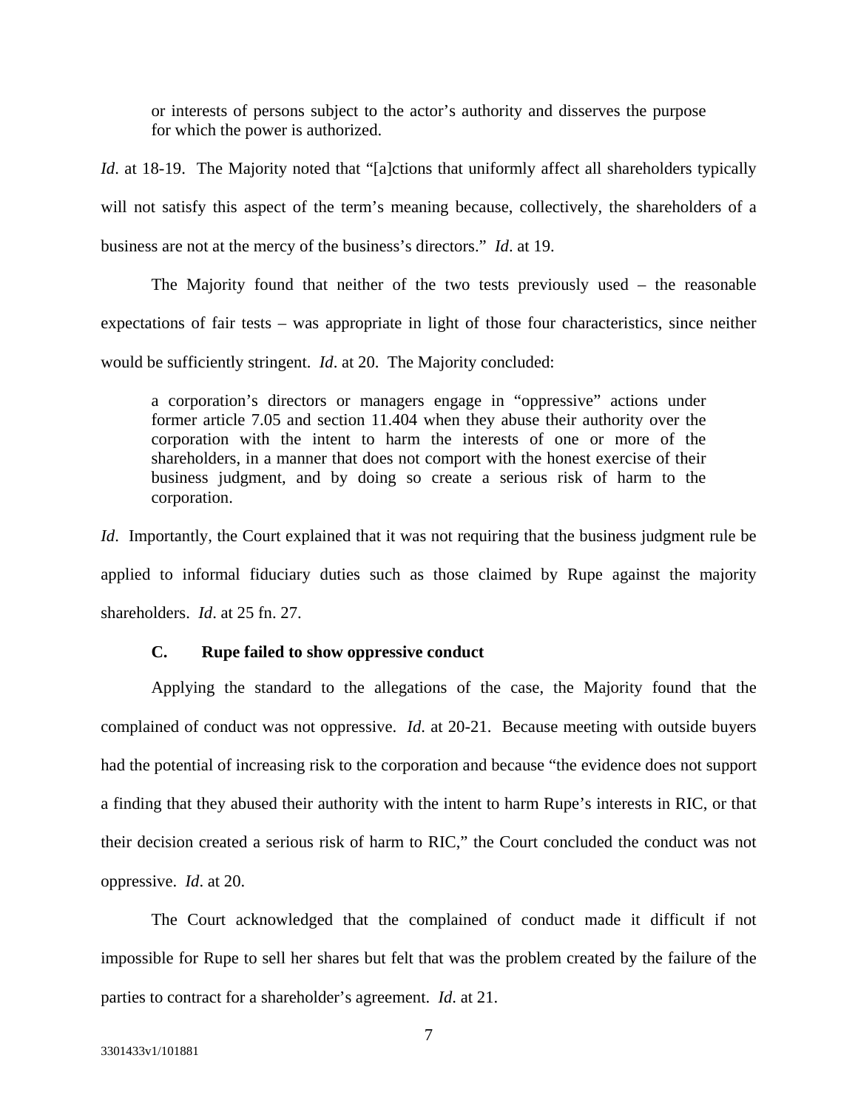or interests of persons subject to the actor's authority and disserves the purpose for which the power is authorized.

*Id.* at 18-19. The Majority noted that "[a]ctions that uniformly affect all shareholders typically will not satisfy this aspect of the term's meaning because, collectively, the shareholders of a business are not at the mercy of the business's directors." *Id*. at 19.

The Majority found that neither of the two tests previously used – the reasonable expectations of fair tests – was appropriate in light of those four characteristics, since neither would be sufficiently stringent. *Id*. at 20. The Majority concluded:

a corporation's directors or managers engage in "oppressive" actions under former article 7.05 and section 11.404 when they abuse their authority over the corporation with the intent to harm the interests of one or more of the shareholders, in a manner that does not comport with the honest exercise of their business judgment, and by doing so create a serious risk of harm to the corporation.

*Id.* Importantly, the Court explained that it was not requiring that the business judgment rule be applied to informal fiduciary duties such as those claimed by Rupe against the majority shareholders. *Id*. at 25 fn. 27.

#### **C. Rupe failed to show oppressive conduct**

Applying the standard to the allegations of the case, the Majority found that the complained of conduct was not oppressive. *Id*. at 20-21. Because meeting with outside buyers had the potential of increasing risk to the corporation and because "the evidence does not support a finding that they abused their authority with the intent to harm Rupe's interests in RIC, or that their decision created a serious risk of harm to RIC," the Court concluded the conduct was not oppressive. *Id*. at 20.

The Court acknowledged that the complained of conduct made it difficult if not impossible for Rupe to sell her shares but felt that was the problem created by the failure of the parties to contract for a shareholder's agreement. *Id*. at 21.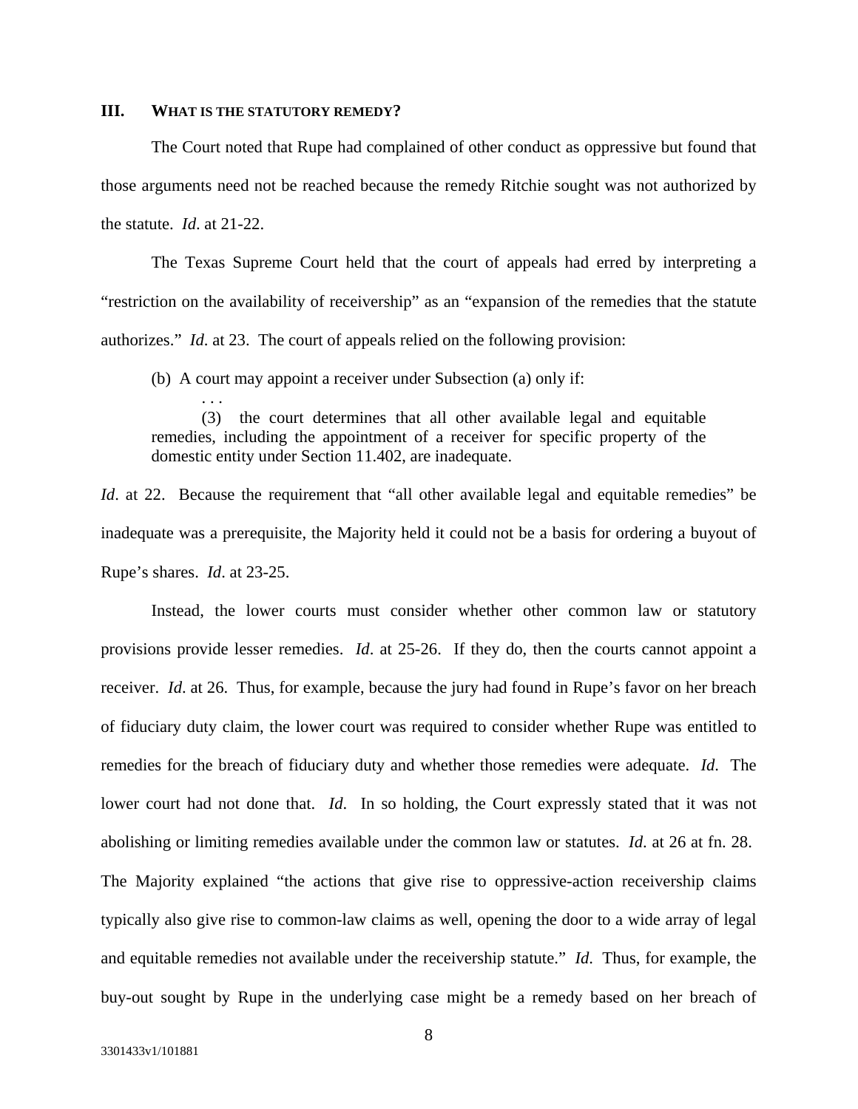## **III. WHAT IS THE STATUTORY REMEDY?**

. . .

The Court noted that Rupe had complained of other conduct as oppressive but found that those arguments need not be reached because the remedy Ritchie sought was not authorized by the statute. *Id*. at 21-22.

The Texas Supreme Court held that the court of appeals had erred by interpreting a "restriction on the availability of receivership" as an "expansion of the remedies that the statute authorizes." *Id*. at 23. The court of appeals relied on the following provision:

(b) A court may appoint a receiver under Subsection (a) only if:

 (3) the court determines that all other available legal and equitable remedies, including the appointment of a receiver for specific property of the domestic entity under Section 11.402, are inadequate.

*Id.* at 22. Because the requirement that "all other available legal and equitable remedies" be inadequate was a prerequisite, the Majority held it could not be a basis for ordering a buyout of Rupe's shares. *Id*. at 23-25.

Instead, the lower courts must consider whether other common law or statutory provisions provide lesser remedies. *Id*. at 25-26. If they do, then the courts cannot appoint a receiver. *Id*. at 26. Thus, for example, because the jury had found in Rupe's favor on her breach of fiduciary duty claim, the lower court was required to consider whether Rupe was entitled to remedies for the breach of fiduciary duty and whether those remedies were adequate. *Id*. The lower court had not done that. *Id*. In so holding, the Court expressly stated that it was not abolishing or limiting remedies available under the common law or statutes. *Id*. at 26 at fn. 28. The Majority explained "the actions that give rise to oppressive-action receivership claims typically also give rise to common-law claims as well, opening the door to a wide array of legal and equitable remedies not available under the receivership statute." *Id*. Thus, for example, the buy-out sought by Rupe in the underlying case might be a remedy based on her breach of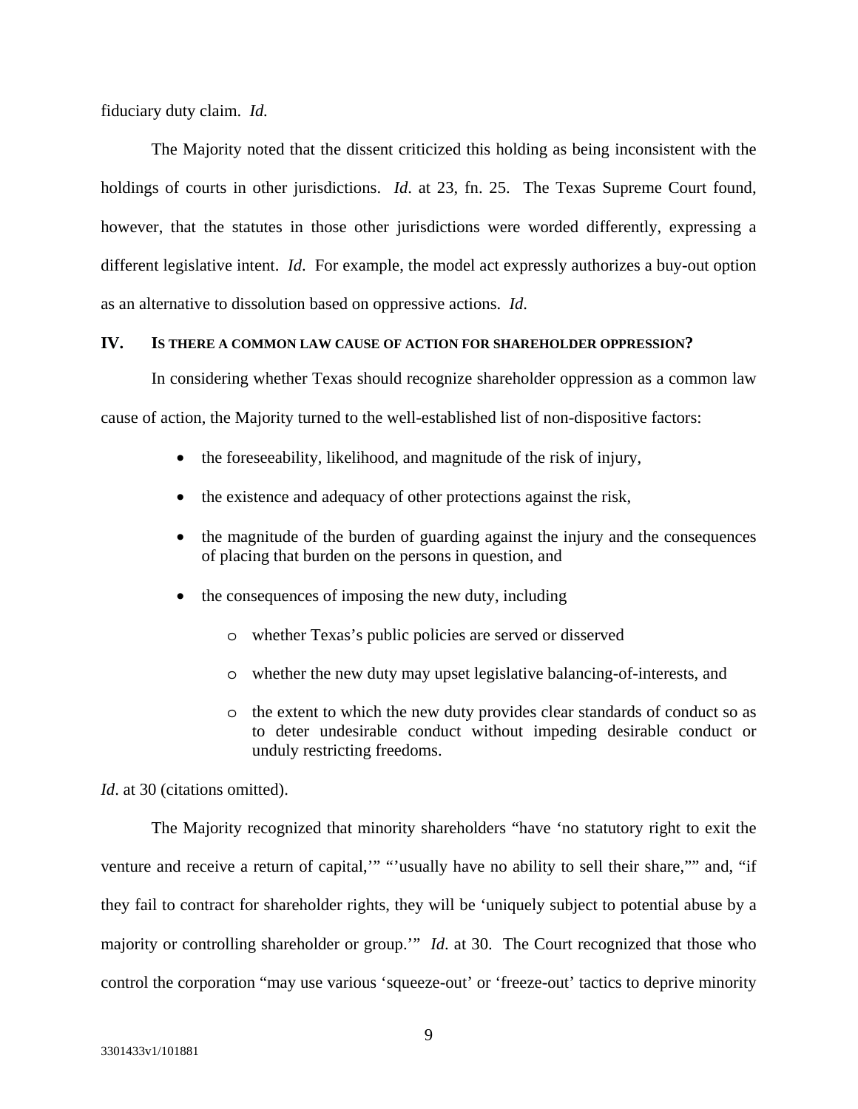fiduciary duty claim. *Id.*

The Majority noted that the dissent criticized this holding as being inconsistent with the holdings of courts in other jurisdictions. *Id.* at 23, fn. 25. The Texas Supreme Court found, however, that the statutes in those other jurisdictions were worded differently, expressing a different legislative intent. *Id*. For example, the model act expressly authorizes a buy-out option as an alternative to dissolution based on oppressive actions. *Id*.

# **IV. IS THERE A COMMON LAW CAUSE OF ACTION FOR SHAREHOLDER OPPRESSION?**

In considering whether Texas should recognize shareholder oppression as a common law cause of action, the Majority turned to the well-established list of non-dispositive factors:

- the foreseeability, likelihood, and magnitude of the risk of injury,
- the existence and adequacy of other protections against the risk,
- the magnitude of the burden of guarding against the injury and the consequences of placing that burden on the persons in question, and
- the consequences of imposing the new duty, including
	- o whether Texas's public policies are served or disserved
	- o whether the new duty may upset legislative balancing-of-interests, and
	- o the extent to which the new duty provides clear standards of conduct so as to deter undesirable conduct without impeding desirable conduct or unduly restricting freedoms.

*Id.* at 30 (citations omitted).

The Majority recognized that minority shareholders "have 'no statutory right to exit the venture and receive a return of capital,'" "'usually have no ability to sell their share,"" and, "if they fail to contract for shareholder rights, they will be 'uniquely subject to potential abuse by a majority or controlling shareholder or group.'" *Id*. at 30. The Court recognized that those who control the corporation "may use various 'squeeze-out' or 'freeze-out' tactics to deprive minority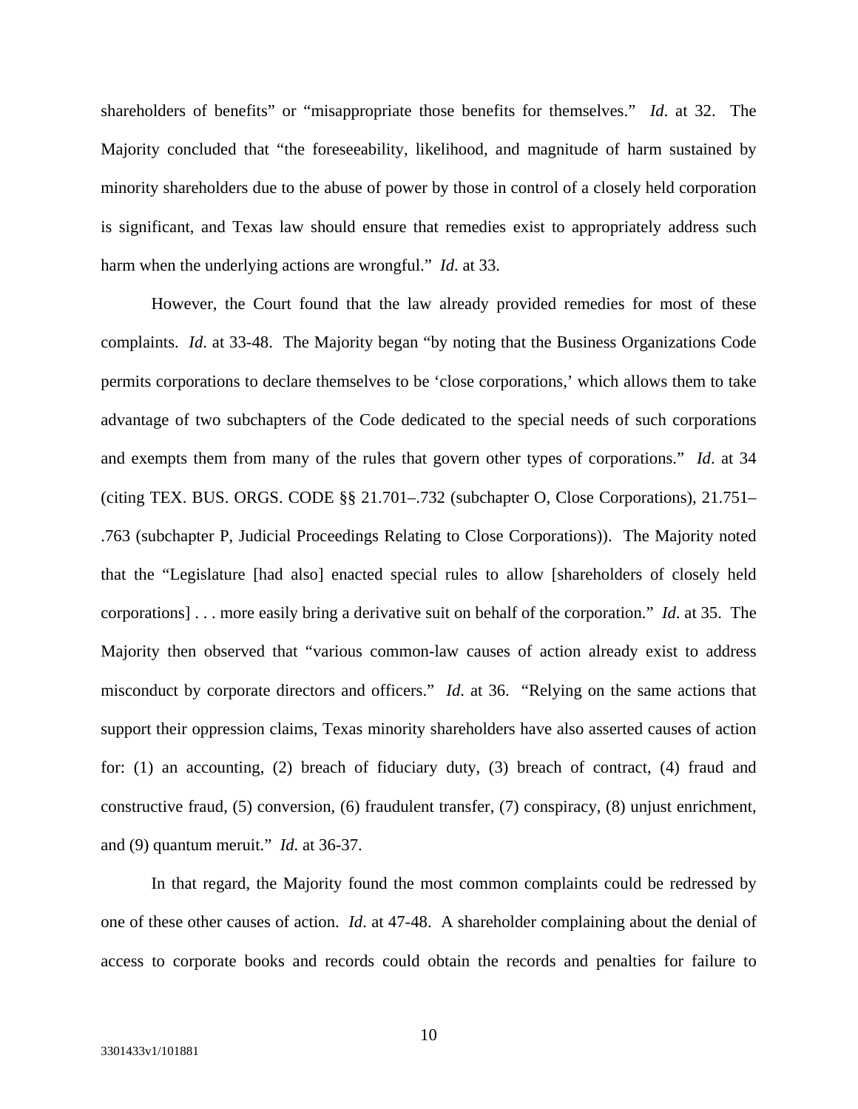shareholders of benefits" or "misappropriate those benefits for themselves." *Id*. at 32. The Majority concluded that "the foreseeability, likelihood, and magnitude of harm sustained by minority shareholders due to the abuse of power by those in control of a closely held corporation is significant, and Texas law should ensure that remedies exist to appropriately address such harm when the underlying actions are wrongful." *Id*. at 33.

However, the Court found that the law already provided remedies for most of these complaints. *Id*. at 33-48. The Majority began "by noting that the Business Organizations Code permits corporations to declare themselves to be 'close corporations,' which allows them to take advantage of two subchapters of the Code dedicated to the special needs of such corporations and exempts them from many of the rules that govern other types of corporations." *Id*. at 34 (citing TEX. BUS. ORGS. CODE §§ 21.701–.732 (subchapter O, Close Corporations), 21.751– .763 (subchapter P, Judicial Proceedings Relating to Close Corporations)). The Majority noted that the "Legislature [had also] enacted special rules to allow [shareholders of closely held corporations] . . . more easily bring a derivative suit on behalf of the corporation." *Id*. at 35. The Majority then observed that "various common-law causes of action already exist to address misconduct by corporate directors and officers." *Id*. at 36. "Relying on the same actions that support their oppression claims, Texas minority shareholders have also asserted causes of action for: (1) an accounting, (2) breach of fiduciary duty, (3) breach of contract, (4) fraud and constructive fraud, (5) conversion, (6) fraudulent transfer, (7) conspiracy, (8) unjust enrichment, and (9) quantum meruit." *Id*. at 36-37.

In that regard, the Majority found the most common complaints could be redressed by one of these other causes of action. *Id*. at 47-48. A shareholder complaining about the denial of access to corporate books and records could obtain the records and penalties for failure to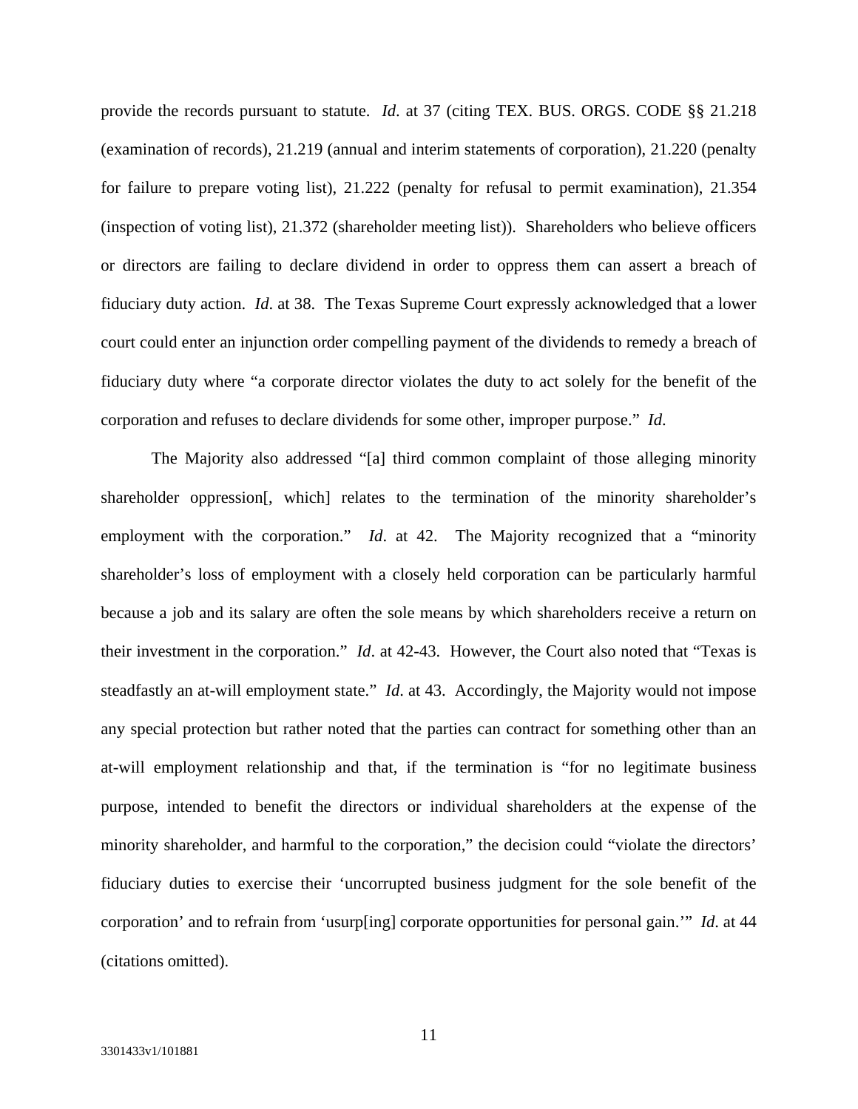provide the records pursuant to statute. *Id*. at 37 (citing TEX. BUS. ORGS. CODE §§ 21.218 (examination of records), 21.219 (annual and interim statements of corporation), 21.220 (penalty for failure to prepare voting list), 21.222 (penalty for refusal to permit examination), 21.354 (inspection of voting list), 21.372 (shareholder meeting list)). Shareholders who believe officers or directors are failing to declare dividend in order to oppress them can assert a breach of fiduciary duty action. *Id*. at 38. The Texas Supreme Court expressly acknowledged that a lower court could enter an injunction order compelling payment of the dividends to remedy a breach of fiduciary duty where "a corporate director violates the duty to act solely for the benefit of the corporation and refuses to declare dividends for some other, improper purpose." *Id*.

The Majority also addressed "[a] third common complaint of those alleging minority shareholder oppression[, which] relates to the termination of the minority shareholder's employment with the corporation." *Id*. at 42. The Majority recognized that a "minority shareholder's loss of employment with a closely held corporation can be particularly harmful because a job and its salary are often the sole means by which shareholders receive a return on their investment in the corporation." *Id*. at 42-43. However, the Court also noted that "Texas is steadfastly an at-will employment state." *Id*. at 43. Accordingly, the Majority would not impose any special protection but rather noted that the parties can contract for something other than an at-will employment relationship and that, if the termination is "for no legitimate business purpose, intended to benefit the directors or individual shareholders at the expense of the minority shareholder, and harmful to the corporation," the decision could "violate the directors' fiduciary duties to exercise their 'uncorrupted business judgment for the sole benefit of the corporation' and to refrain from 'usurp[ing] corporate opportunities for personal gain.'" *Id*. at 44 (citations omitted).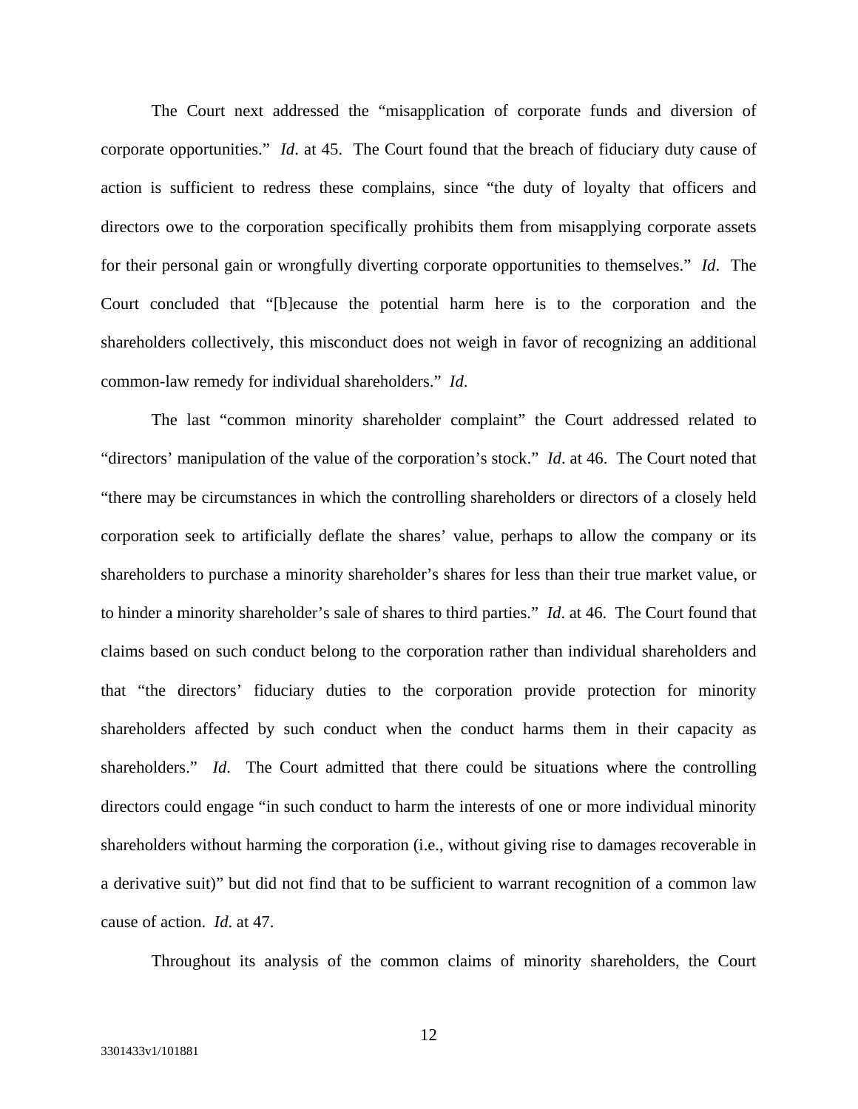The Court next addressed the "misapplication of corporate funds and diversion of corporate opportunities." *Id*. at 45. The Court found that the breach of fiduciary duty cause of action is sufficient to redress these complains, since "the duty of loyalty that officers and directors owe to the corporation specifically prohibits them from misapplying corporate assets for their personal gain or wrongfully diverting corporate opportunities to themselves." *Id*. The Court concluded that "[b]ecause the potential harm here is to the corporation and the shareholders collectively, this misconduct does not weigh in favor of recognizing an additional common-law remedy for individual shareholders." *Id*.

The last "common minority shareholder complaint" the Court addressed related to "directors' manipulation of the value of the corporation's stock." *Id*. at 46. The Court noted that "there may be circumstances in which the controlling shareholders or directors of a closely held corporation seek to artificially deflate the shares' value, perhaps to allow the company or its shareholders to purchase a minority shareholder's shares for less than their true market value, or to hinder a minority shareholder's sale of shares to third parties." *Id*. at 46. The Court found that claims based on such conduct belong to the corporation rather than individual shareholders and that "the directors' fiduciary duties to the corporation provide protection for minority shareholders affected by such conduct when the conduct harms them in their capacity as shareholders." *Id*. The Court admitted that there could be situations where the controlling directors could engage "in such conduct to harm the interests of one or more individual minority shareholders without harming the corporation (i.e., without giving rise to damages recoverable in a derivative suit)" but did not find that to be sufficient to warrant recognition of a common law cause of action. *Id*. at 47.

Throughout its analysis of the common claims of minority shareholders, the Court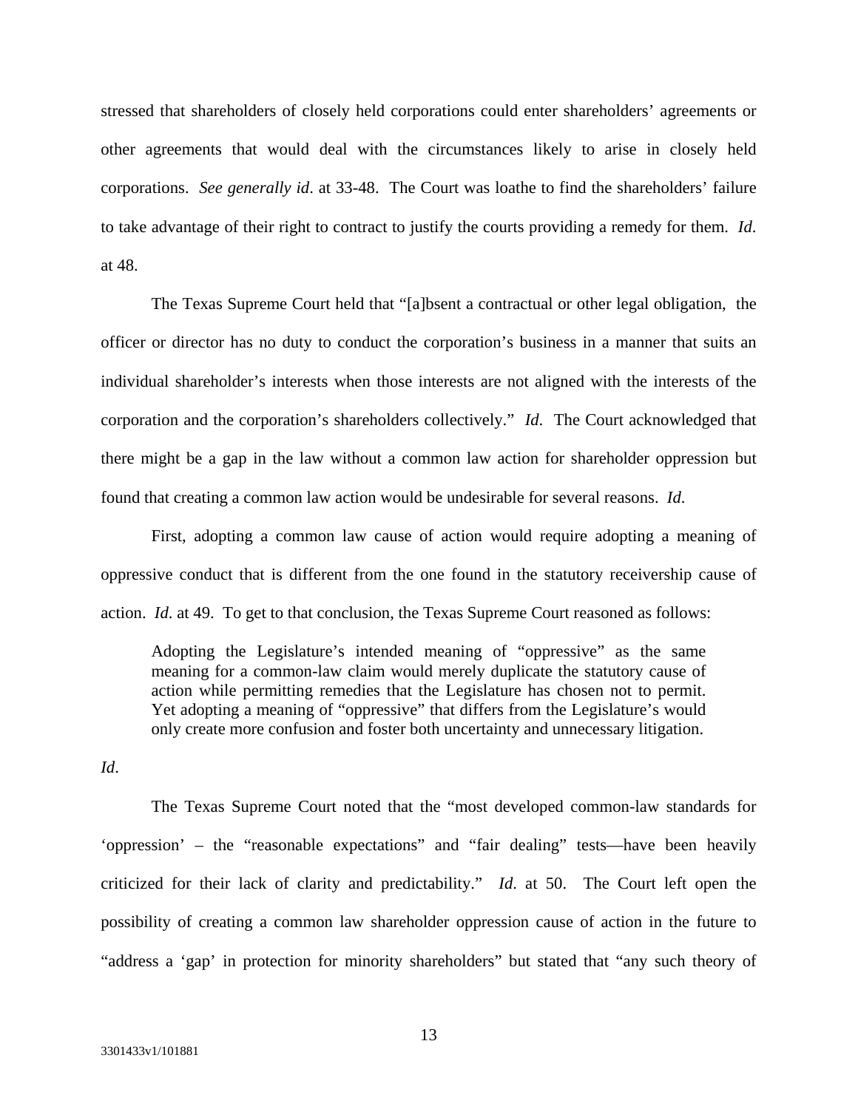stressed that shareholders of closely held corporations could enter shareholders' agreements or other agreements that would deal with the circumstances likely to arise in closely held corporations. *See generally id*. at 33-48. The Court was loathe to find the shareholders' failure to take advantage of their right to contract to justify the courts providing a remedy for them. *Id*. at 48.

The Texas Supreme Court held that "[a]bsent a contractual or other legal obligation, the officer or director has no duty to conduct the corporation's business in a manner that suits an individual shareholder's interests when those interests are not aligned with the interests of the corporation and the corporation's shareholders collectively." *Id*. The Court acknowledged that there might be a gap in the law without a common law action for shareholder oppression but found that creating a common law action would be undesirable for several reasons. *Id*.

First, adopting a common law cause of action would require adopting a meaning of oppressive conduct that is different from the one found in the statutory receivership cause of action. *Id*. at 49. To get to that conclusion, the Texas Supreme Court reasoned as follows:

Adopting the Legislature's intended meaning of "oppressive" as the same meaning for a common-law claim would merely duplicate the statutory cause of action while permitting remedies that the Legislature has chosen not to permit. Yet adopting a meaning of "oppressive" that differs from the Legislature's would only create more confusion and foster both uncertainty and unnecessary litigation.

*Id*.

The Texas Supreme Court noted that the "most developed common-law standards for 'oppression' – the "reasonable expectations" and "fair dealing" tests—have been heavily criticized for their lack of clarity and predictability." *Id*. at 50. The Court left open the possibility of creating a common law shareholder oppression cause of action in the future to "address a 'gap' in protection for minority shareholders" but stated that "any such theory of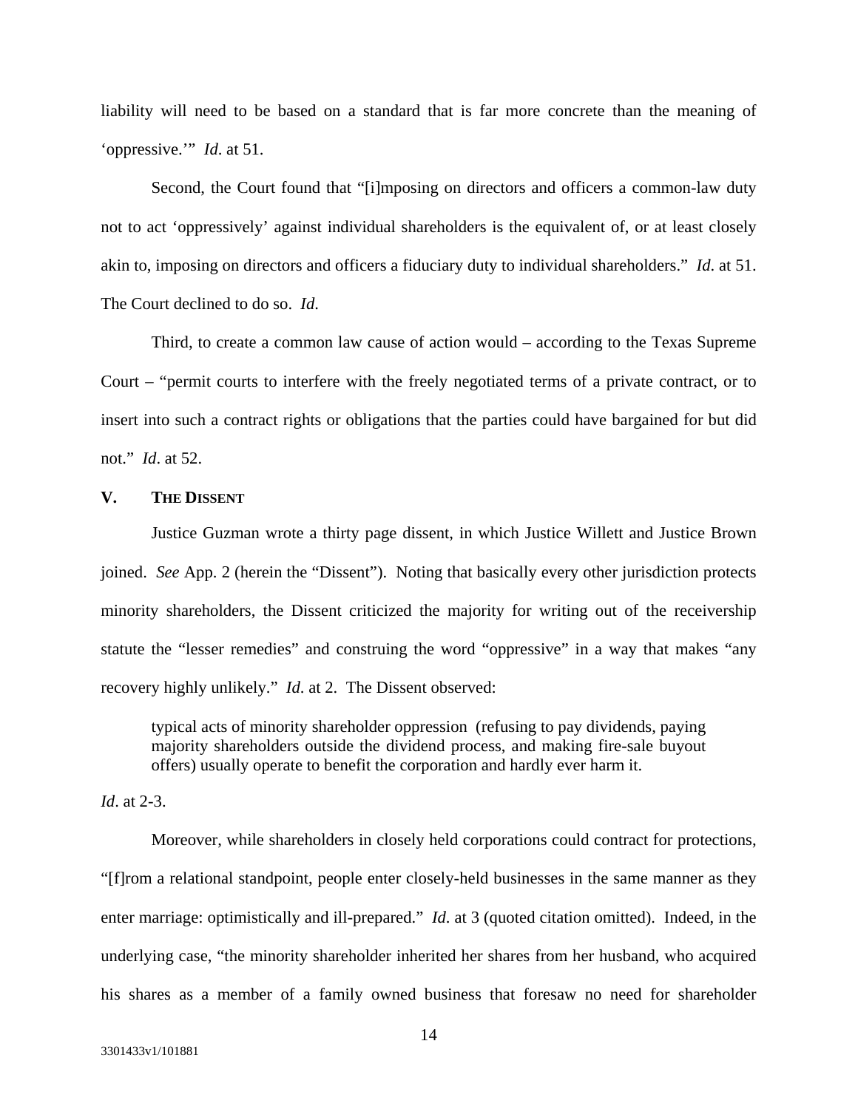liability will need to be based on a standard that is far more concrete than the meaning of 'oppressive.'" *Id*. at 51.

Second, the Court found that "[i]mposing on directors and officers a common-law duty not to act 'oppressively' against individual shareholders is the equivalent of, or at least closely akin to, imposing on directors and officers a fiduciary duty to individual shareholders." *Id*. at 51. The Court declined to do so. *Id*.

Third, to create a common law cause of action would – according to the Texas Supreme Court – "permit courts to interfere with the freely negotiated terms of a private contract, or to insert into such a contract rights or obligations that the parties could have bargained for but did not." *Id*. at 52.

#### **V. THE DISSENT**

Justice Guzman wrote a thirty page dissent, in which Justice Willett and Justice Brown joined. *See* App. 2 (herein the "Dissent"). Noting that basically every other jurisdiction protects minority shareholders, the Dissent criticized the majority for writing out of the receivership statute the "lesser remedies" and construing the word "oppressive" in a way that makes "any recovery highly unlikely." *Id*. at 2. The Dissent observed:

typical acts of minority shareholder oppression (refusing to pay dividends, paying majority shareholders outside the dividend process, and making fire-sale buyout offers) usually operate to benefit the corporation and hardly ever harm it.

# *Id*. at 2-3.

Moreover, while shareholders in closely held corporations could contract for protections, "[f]rom a relational standpoint, people enter closely-held businesses in the same manner as they enter marriage: optimistically and ill-prepared." *Id*. at 3 (quoted citation omitted). Indeed, in the underlying case, "the minority shareholder inherited her shares from her husband, who acquired his shares as a member of a family owned business that foresaw no need for shareholder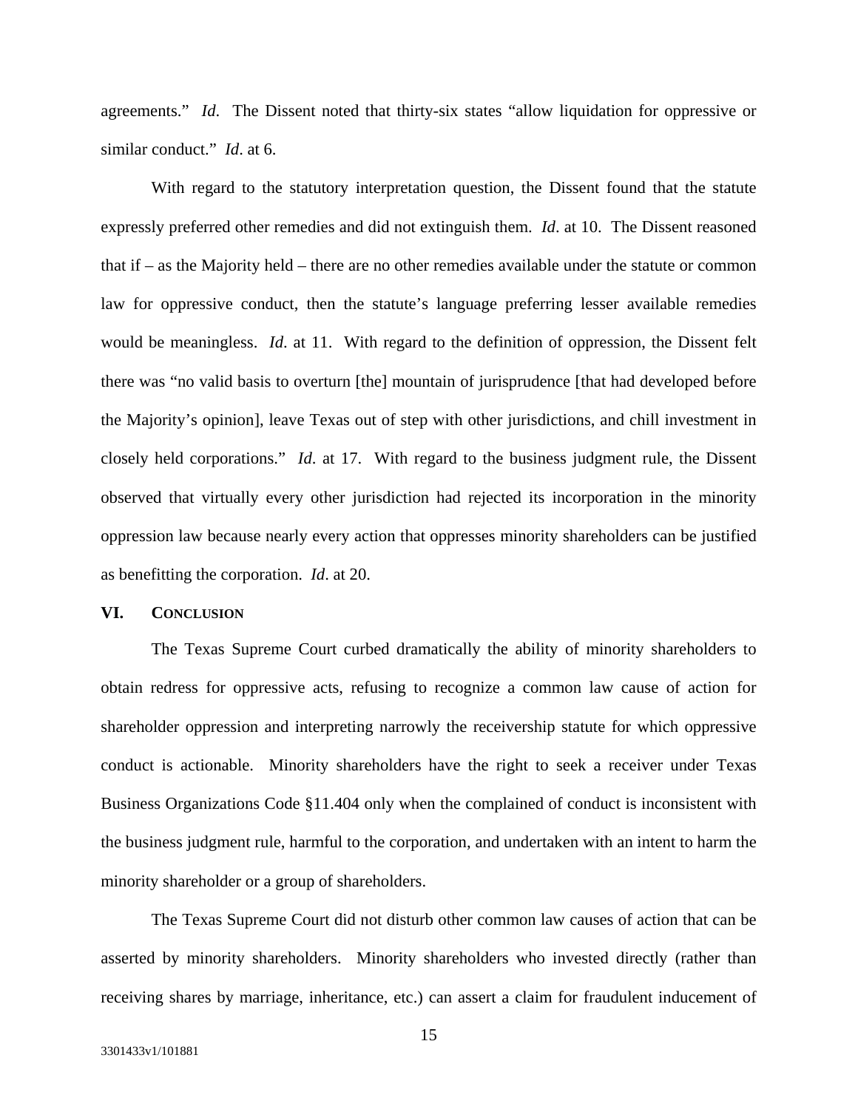agreements." *Id*. The Dissent noted that thirty-six states "allow liquidation for oppressive or similar conduct." *Id*. at 6.

With regard to the statutory interpretation question, the Dissent found that the statute expressly preferred other remedies and did not extinguish them. *Id*. at 10. The Dissent reasoned that if – as the Majority held – there are no other remedies available under the statute or common law for oppressive conduct, then the statute's language preferring lesser available remedies would be meaningless. *Id*. at 11. With regard to the definition of oppression, the Dissent felt there was "no valid basis to overturn [the] mountain of jurisprudence [that had developed before the Majority's opinion], leave Texas out of step with other jurisdictions, and chill investment in closely held corporations." *Id*. at 17. With regard to the business judgment rule, the Dissent observed that virtually every other jurisdiction had rejected its incorporation in the minority oppression law because nearly every action that oppresses minority shareholders can be justified as benefitting the corporation. *Id*. at 20.

### **VI. CONCLUSION**

 The Texas Supreme Court curbed dramatically the ability of minority shareholders to obtain redress for oppressive acts, refusing to recognize a common law cause of action for shareholder oppression and interpreting narrowly the receivership statute for which oppressive conduct is actionable. Minority shareholders have the right to seek a receiver under Texas Business Organizations Code §11.404 only when the complained of conduct is inconsistent with the business judgment rule, harmful to the corporation, and undertaken with an intent to harm the minority shareholder or a group of shareholders.

The Texas Supreme Court did not disturb other common law causes of action that can be asserted by minority shareholders. Minority shareholders who invested directly (rather than receiving shares by marriage, inheritance, etc.) can assert a claim for fraudulent inducement of